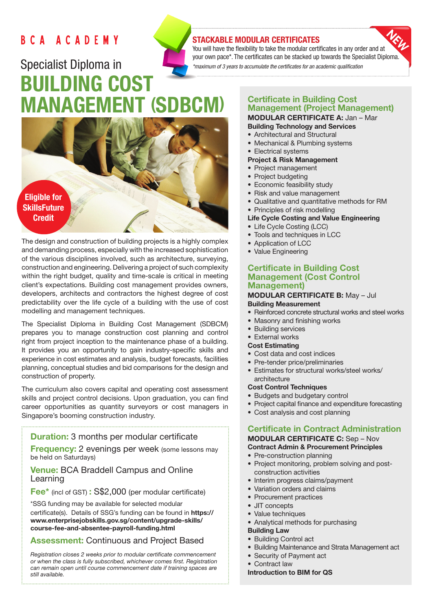# BCA ACADEMY

# Specialist Diploma in BUILDING COST MANAGEMENT (SDBCM)



The design and construction of building projects is a highly complex and demanding process, especially with the increased sophistication of the various disciplines involved, such as architecture, surveying, construction and engineering. Delivering a project of such complexity within the right budget, quality and time-scale is critical in meeting client's expectations. Building cost management provides owners, developers, architects and contractors the highest degree of cost predictability over the life cycle of a building with the use of cost modelling and management techniques.

The Specialist Diploma in Building Cost Management (SDBCM) prepares you to manage construction cost planning and control right from project inception to the maintenance phase of a building. It provides you an opportunity to gain industry-specific skills and experience in cost estimates and analysis, budget forecasts, facilities planning, conceptual studies and bid comparisons for the design and construction of property.

The curriculum also covers capital and operating cost assessment skills and project control decisions. Upon graduation, you can find career opportunities as quantity surveyors or cost managers in Singapore's booming construction industry.

## **Duration:** 3 months per modular certificate

**Frequency:** 2 evenings per week (some lessons may be held on Saturdays)

# Venue: BCA Braddell Campus and Online Learning

Fee\* (incl of GST) : S\$2,000 (per modular certificate)

\*SSG funding may be available for selected modular certificate(s). Details of SSG's funding can be found in https:// www.enterprisejobskills.gov.sg/content/upgrade-skills/ course-fee-and-absentee-payroll-funding.html

# Assessment: Continuous and Project Based

*Registration closes 2 weeks prior to modular certificate commencement or when the class is fully subscribed, whichever comes first. Registration can remain open until course commencement date if training spaces are still available.*

# STACKABLE MODULAR CERTIFICATES

You will have the flexibility to take the modular certificates in any order and at your own pace\*. The certificates can be stacked up towards the Specialist Diploma. *\*maximum of 3 years to accumulate the certificates for an academic qualification* 

## Certificate in Building Cost Management (Project Management) MODULAR CERTIFICATE A: Jan – Mar

- Building Technology and Services
- Architectural and Structural
- Mechanical & Plumbing systems
- Electrical systems

# Project & Risk Management

- Project management
- Project budgeting
- Economic feasibility study
- Risk and value management
- Qualitative and quantitative methods for RM
- Principles of risk modelling

#### Life Cycle Costing and Value Engineering

- Life Cycle Costing (LCC)
- Tools and techniques in LCC
- Application of LCC
- Value Engineering

## Certificate in Building Cost Management (Cost Control Management)

#### MODULAR CERTIFICATE B: May – Jul Building Measurement

- Reinforced concrete structural works and steel works
- Masonry and finishing works
- Building services
- External works

#### Cost Estimating

- Cost data and cost indices
- Pre-tender price/preliminaries
- Estimates for structural works/steel works/ architecture

#### Cost Control Techniques

- Budgets and budgetary control
- Project capital finance and expenditure forecasting
- Cost analysis and cost planning

# Certificate in Contract Administration

#### MODULAR CERTIFICATE C: Sep – Nov Contract Admin & Procurement Principles

- Pre-construction planning
- Project monitoring, problem solving and postconstruction activities
- Interim progress claims/payment
- Variation orders and claims
- Procurement practices
- JIT concepts
- Value techniques
- Analytical methods for purchasing
- Building Law
- Building Control act
- Building Maintenance and Strata Management act
- Security of Payment act
- Contract law

# Introduction to BIM for QS